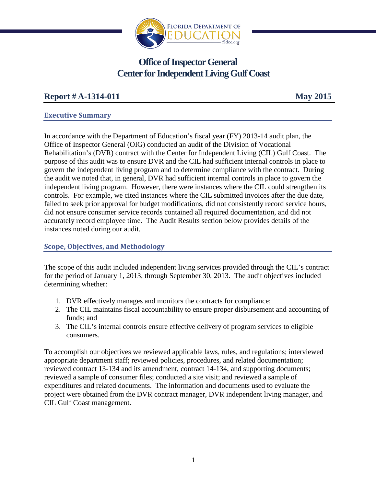

# **Office of Inspector General Center for Independent LivingGulf Coast**

## **Report # A-1314-011 May 2015**

## **Executive Summary**

In accordance with the Department of Education's fiscal year (FY) 2013-14 audit plan, the Office of Inspector General (OIG) conducted an audit of the Division of Vocational Rehabilitation's (DVR) contract with the Center for Independent Living (CIL) Gulf Coast. The purpose of this audit was to ensure DVR and the CIL had sufficient internal controls in place to govern the independent living program and to determine compliance with the contract. During the audit we noted that, in general, DVR had sufficient internal controls in place to govern the independent living program. However, there were instances where the CIL could strengthen its controls. For example, we cited instances where the CIL submitted invoices after the due date, failed to seek prior approval for budget modifications, did not consistently record service hours, did not ensure consumer service records contained all required documentation, and did not accurately record employee time. The Audit Results section below provides details of the instances noted during our audit.

## **Scope, Objectives, and Methodology**

The scope of this audit included independent living services provided through the CIL's contract for the period of January 1, 2013, through September 30, 2013. The audit objectives included determining whether:

- 1. DVR effectively manages and monitors the contracts for compliance;
- 2. The CIL maintains fiscal accountability to ensure proper disbursement and accounting of funds; and
- 3. The CIL's internal controls ensure effective delivery of program services to eligible consumers.

To accomplish our objectives we reviewed applicable laws, rules, and regulations; interviewed appropriate department staff; reviewed policies, procedures, and related documentation; reviewed contract 13-134 and its amendment, contract 14-134, and supporting documents; reviewed a sample of consumer files; conducted a site visit; and reviewed a sample of expenditures and related documents. The information and documents used to evaluate the project were obtained from the DVR contract manager, DVR independent living manager, and CIL Gulf Coast management.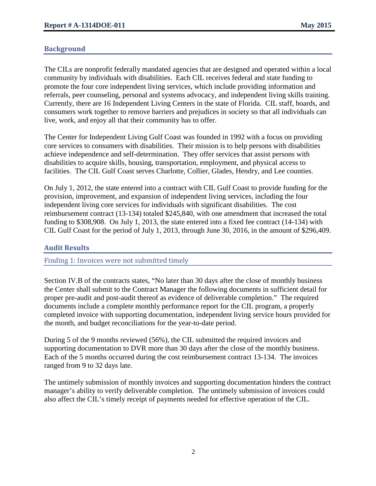## **Background**

The CILs are nonprofit federally mandated agencies that are designed and operated within a local community by individuals with disabilities. Each CIL receives federal and state funding to promote the four core independent living services, which include providing information and referrals, peer counseling, personal and systems advocacy, and independent living skills training. Currently, there are 16 Independent Living Centers in the state of Florida. CIL staff, boards, and consumers work together to remove barriers and prejudices in society so that all individuals can live, work, and enjoy all that their community has to offer.

The Center for Independent Living Gulf Coast was founded in 1992 with a focus on providing core services to consumers with disabilities. Their mission is to help persons with disabilities achieve independence and self-determination. They offer services that assist persons with disabilities to acquire skills, housing, transportation, employment, and physical access to facilities. The CIL Gulf Coast serves Charlotte, Collier, Glades, Hendry, and Lee counties.

On July 1, 2012, the state entered into a contract with CIL Gulf Coast to provide funding for the provision, improvement, and expansion of independent living services, including the four independent living core services for individuals with significant disabilities. The cost reimbursement contract (13-134) totaled \$245,840, with one amendment that increased the total funding to \$308,908. On July 1, 2013, the state entered into a fixed fee contract (14-134) with CIL Gulf Coast for the period of July 1, 2013, through June 30, 2016, in the amount of \$296,409.

#### **Audit Results**

Finding 1: Invoices were not submitted timely

Section IV.B of the contracts states, "No later than 30 days after the close of monthly business the Center shall submit to the Contract Manager the following documents in sufficient detail for proper pre-audit and post-audit thereof as evidence of deliverable completion." The required documents include a complete monthly performance report for the CIL program, a properly completed invoice with supporting documentation, independent living service hours provided for the month, and budget reconciliations for the year-to-date period.

During 5 of the 9 months reviewed (56%), the CIL submitted the required invoices and supporting documentation to DVR more than 30 days after the close of the monthly business. Each of the 5 months occurred during the cost reimbursement contract 13-134. The invoices ranged from 9 to 32 days late.

The untimely submission of monthly invoices and supporting documentation hinders the contract manager's ability to verify deliverable completion. The untimely submission of invoices could also affect the CIL's timely receipt of payments needed for effective operation of the CIL.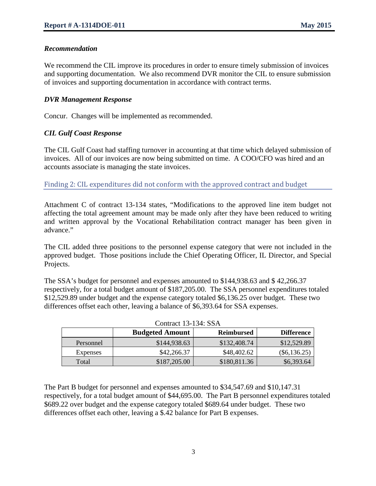#### *Recommendation*

We recommend the CIL improve its procedures in order to ensure timely submission of invoices and supporting documentation. We also recommend DVR monitor the CIL to ensure submission of invoices and supporting documentation in accordance with contract terms.

#### *DVR Management Response*

Concur. Changes will be implemented as recommended.

#### *CIL Gulf Coast Response*

The CIL Gulf Coast had staffing turnover in accounting at that time which delayed submission of invoices. All of our invoices are now being submitted on time. A COO/CFO was hired and an accounts associate is managing the state invoices.

Finding 2: CIL expenditures did not conform with the approved contract and budget

Attachment C of contract 13-134 states, "Modifications to the approved line item budget not affecting the total agreement amount may be made only after they have been reduced to writing and written approval by the Vocational Rehabilitation contract manager has been given in advance."

The CIL added three positions to the personnel expense category that were not included in the approved budget. Those positions include the Chief Operating Officer, IL Director, and Special Projects.

The SSA's budget for personnel and expenses amounted to \$144,938.63 and \$ 42,266.37 respectively, for a total budget amount of \$187,205.00. The SSA personnel expenditures totaled \$12,529.89 under budget and the expense category totaled \$6,136.25 over budget. These two differences offset each other, leaving a balance of \$6,393.64 for SSA expenses.

|           | <b>Budgeted Amount</b> | <b>Reimbursed</b> | <b>Difference</b> |
|-----------|------------------------|-------------------|-------------------|
| Personnel | \$144,938.63           | \$132,408.74      | \$12,529.89       |
| Expenses  | \$42,266.37            | \$48,402.62       | $(\$6,136.25)$    |
| Total     | \$187,205.00           | \$180,811.36      | \$6,393.64        |

|  | Contract 13-134: SSA |
|--|----------------------|
|--|----------------------|

The Part B budget for personnel and expenses amounted to \$34,547.69 and \$10,147.31 respectively, for a total budget amount of \$44,695.00. The Part B personnel expenditures totaled \$689.22 over budget and the expense category totaled \$689.64 under budget. These two differences offset each other, leaving a \$.42 balance for Part B expenses.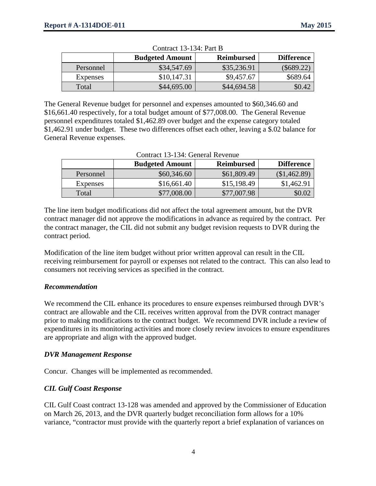|           | <b>Budgeted Amount</b> | <b>Reimbursed</b> | <b>Difference</b> |
|-----------|------------------------|-------------------|-------------------|
| Personnel | \$34,547.69            | \$35,236.91       | $(\$689.22)$      |
| Expenses  | \$10,147.31            | \$9,457.67        | \$689.64          |
| Total     | \$44,695.00            | \$44,694.58       | \$0.42            |

 $\alpha$   $(13.134)$  Part B

The General Revenue budget for personnel and expenses amounted to \$60,346.60 and \$16,661.40 respectively, for a total budget amount of \$77,008.00. The General Revenue personnel expenditures totaled \$1,462.89 over budget and the expense category totaled \$1,462.91 under budget. These two differences offset each other, leaving a \$.02 balance for General Revenue expenses.

| Common to to a communication |                        |                   |                   |  |  |
|------------------------------|------------------------|-------------------|-------------------|--|--|
|                              | <b>Budgeted Amount</b> | <b>Reimbursed</b> | <b>Difference</b> |  |  |
| Personnel                    | \$60,346.60            | \$61,809.49       | (\$1,462.89)      |  |  |
| Expenses                     | \$16,661.40            | \$15,198.49       | \$1,462.91        |  |  |
| Total                        | \$77,008.00            | \$77,007.98       | \$0.02            |  |  |

The line item budget modifications did not affect the total agreement amount, but the DVR contract manager did not approve the modifications in advance as required by the contract. Per the contract manager, the CIL did not submit any budget revision requests to DVR during the contract period.

Modification of the line item budget without prior written approval can result in the CIL receiving reimbursement for payroll or expenses not related to the contract. This can also lead to consumers not receiving services as specified in the contract.

#### *Recommendation*

We recommend the CIL enhance its procedures to ensure expenses reimbursed through DVR's contract are allowable and the CIL receives written approval from the DVR contract manager prior to making modifications to the contract budget. We recommend DVR include a review of expenditures in its monitoring activities and more closely review invoices to ensure expenditures are appropriate and align with the approved budget.

#### *DVR Management Response*

Concur. Changes will be implemented as recommended.

#### *CIL Gulf Coast Response*

CIL Gulf Coast contract 13-128 was amended and approved by the Commissioner of Education on March 26, 2013, and the DVR quarterly budget reconciliation form allows for a 10% variance, "contractor must provide with the quarterly report a brief explanation of variances on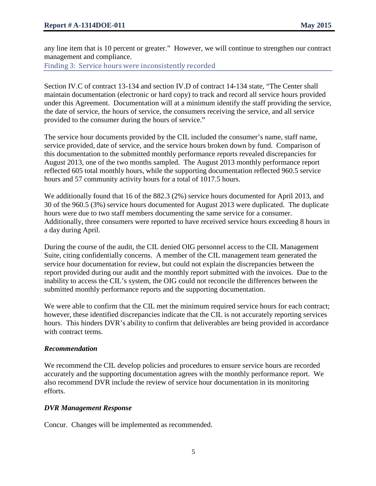any line item that is 10 percent or greater." However, we will continue to strengthen our contract management and compliance.

Finding 3: Service hours were inconsistently recorded

Section IV.C of contract 13-134 and section IV.D of contract 14-134 state, "The Center shall maintain documentation (electronic or hard copy) to track and record all service hours provided under this Agreement. Documentation will at a minimum identify the staff providing the service, the date of service, the hours of service, the consumers receiving the service, and all service provided to the consumer during the hours of service."

The service hour documents provided by the CIL included the consumer's name, staff name, service provided, date of service, and the service hours broken down by fund. Comparison of this documentation to the submitted monthly performance reports revealed discrepancies for August 2013, one of the two months sampled. The August 2013 monthly performance report reflected 605 total monthly hours, while the supporting documentation reflected 960.5 service hours and 57 community activity hours for a total of 1017.5 hours.

We additionally found that 16 of the 882.3 (2%) service hours documented for April 2013, and 30 of the 960.5 (3%) service hours documented for August 2013 were duplicated. The duplicate hours were due to two staff members documenting the same service for a consumer. Additionally, three consumers were reported to have received service hours exceeding 8 hours in a day during April.

During the course of the audit, the CIL denied OIG personnel access to the CIL Management Suite, citing confidentially concerns. A member of the CIL management team generated the service hour documentation for review, but could not explain the discrepancies between the report provided during our audit and the monthly report submitted with the invoices. Due to the inability to access the CIL's system, the OIG could not reconcile the differences between the submitted monthly performance reports and the supporting documentation.

We were able to confirm that the CIL met the minimum required service hours for each contract; however, these identified discrepancies indicate that the CIL is not accurately reporting services hours. This hinders DVR's ability to confirm that deliverables are being provided in accordance with contract terms.

#### *Recommendation*

We recommend the CIL develop policies and procedures to ensure service hours are recorded accurately and the supporting documentation agrees with the monthly performance report. We also recommend DVR include the review of service hour documentation in its monitoring efforts.

#### *DVR Management Response*

Concur. Changes will be implemented as recommended.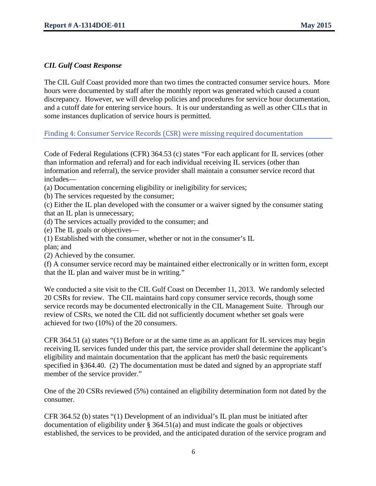#### *CIL Gulf Coast Response*

The CIL Gulf Coast provided more than two times the contracted consumer service hours. More hours were documented by staff after the monthly report was generated which caused a count discrepancy. However, we will develop policies and procedures for service hour documentation, and a cutoff date for entering service hours. It is our understanding as well as other CILs that in some instances duplication of service hours is permitted.

#### Finding 4: Consumer Service Records (CSR) were missing required documentation

Code of Federal Regulations (CFR) 364.53 (c) states "For each applicant for IL services (other than information and referral) and for each individual receiving IL services (other than information and referral), the service provider shall maintain a consumer service record that includes—

(a) Documentation concerning eligibility or ineligibility for services;

(b) The services requested by the consumer;

(c) Either the IL plan developed with the consumer or a waiver signed by the consumer stating that an IL plan is unnecessary;

- (d) The services actually provided to the consumer; and
- (e) The IL goals or objectives—
- (1) Established with the consumer, whether or not in the consumer's IL
- plan; and

(2) Achieved by the consumer.

(f) A consumer service record may be maintained either electronically or in written form, except that the IL plan and waiver must be in writing."

We conducted a site visit to the CIL Gulf Coast on December 11, 2013. We randomly selected 20 CSRs for review. The CIL maintains hard copy consumer service records, though some service records may be documented electronically in the CIL Management Suite. Through our review of CSRs, we noted the CIL did not sufficiently document whether set goals were achieved for two (10%) of the 20 consumers.

CFR 364.51 (a) states "(1) Before or at the same time as an applicant for IL services may begin receiving IL services funded under this part, the service provider shall determine the applicant's eligibility and maintain documentation that the applicant has met0 the basic requirements specified in §364.40. (2) The documentation must be dated and signed by an appropriate staff member of the service provider."

One of the 20 CSRs reviewed (5%) contained an eligibility determination form not dated by the consumer.

CFR 364.52 (b) states "(1) Development of an individual's IL plan must be initiated after documentation of eligibility under § 364.51(a) and must indicate the goals or objectives established, the services to be provided, and the anticipated duration of the service program and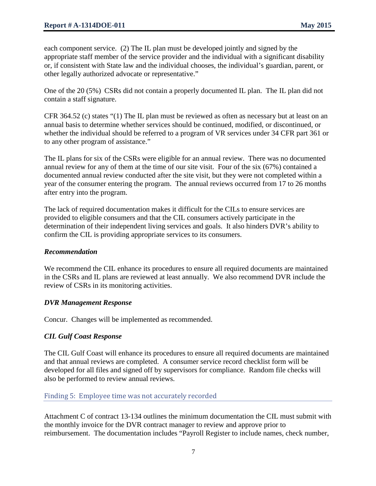each component service. (2) The IL plan must be developed jointly and signed by the appropriate staff member of the service provider and the individual with a significant disability or, if consistent with State law and the individual chooses, the individual's guardian, parent, or other legally authorized advocate or representative."

One of the 20 (5%) CSRs did not contain a properly documented IL plan. The IL plan did not contain a staff signature.

CFR 364.52 (c) states "(1) The IL plan must be reviewed as often as necessary but at least on an annual basis to determine whether services should be continued, modified, or discontinued, or whether the individual should be referred to a program of VR services under 34 CFR part 361 or to any other program of assistance."

The IL plans for six of the CSRs were eligible for an annual review. There was no documented annual review for any of them at the time of our site visit. Four of the six (67%) contained a documented annual review conducted after the site visit, but they were not completed within a year of the consumer entering the program. The annual reviews occurred from 17 to 26 months after entry into the program.

The lack of required documentation makes it difficult for the CILs to ensure services are provided to eligible consumers and that the CIL consumers actively participate in the determination of their independent living services and goals. It also hinders DVR's ability to confirm the CIL is providing appropriate services to its consumers.

#### *Recommendation*

We recommend the CIL enhance its procedures to ensure all required documents are maintained in the CSRs and IL plans are reviewed at least annually. We also recommend DVR include the review of CSRs in its monitoring activities.

#### *DVR Management Response*

Concur. Changes will be implemented as recommended.

## *CIL Gulf Coast Response*

The CIL Gulf Coast will enhance its procedures to ensure all required documents are maintained and that annual reviews are completed. A consumer service record checklist form will be developed for all files and signed off by supervisors for compliance. Random file checks will also be performed to review annual reviews.

#### Finding 5: Employee time was not accurately recorded

Attachment C of contract 13-134 outlines the minimum documentation the CIL must submit with the monthly invoice for the DVR contract manager to review and approve prior to reimbursement. The documentation includes "Payroll Register to include names, check number,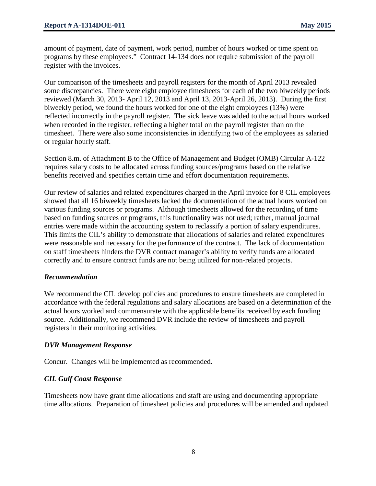amount of payment, date of payment, work period, number of hours worked or time spent on programs by these employees." Contract 14-134 does not require submission of the payroll register with the invoices.

Our comparison of the timesheets and payroll registers for the month of April 2013 revealed some discrepancies. There were eight employee timesheets for each of the two biweekly periods reviewed (March 30, 2013- April 12, 2013 and April 13, 2013-April 26, 2013). During the first biweekly period, we found the hours worked for one of the eight employees (13%) were reflected incorrectly in the payroll register. The sick leave was added to the actual hours worked when recorded in the register, reflecting a higher total on the payroll register than on the timesheet. There were also some inconsistencies in identifying two of the employees as salaried or regular hourly staff.

Section 8.m. of Attachment B to the Office of Management and Budget (OMB) Circular A-122 requires salary costs to be allocated across funding sources/programs based on the relative benefits received and specifies certain time and effort documentation requirements.

Our review of salaries and related expenditures charged in the April invoice for 8 CIL employees showed that all 16 biweekly timesheets lacked the documentation of the actual hours worked on various funding sources or programs. Although timesheets allowed for the recording of time based on funding sources or programs, this functionality was not used; rather, manual journal entries were made within the accounting system to reclassify a portion of salary expenditures. This limits the CIL's ability to demonstrate that allocations of salaries and related expenditures were reasonable and necessary for the performance of the contract. The lack of documentation on staff timesheets hinders the DVR contract manager's ability to verify funds are allocated correctly and to ensure contract funds are not being utilized for non-related projects.

#### *Recommendation*

We recommend the CIL develop policies and procedures to ensure timesheets are completed in accordance with the federal regulations and salary allocations are based on a determination of the actual hours worked and commensurate with the applicable benefits received by each funding source. Additionally, we recommend DVR include the review of timesheets and payroll registers in their monitoring activities.

#### *DVR Management Response*

Concur. Changes will be implemented as recommended.

#### *CIL Gulf Coast Response*

Timesheets now have grant time allocations and staff are using and documenting appropriate time allocations. Preparation of timesheet policies and procedures will be amended and updated.